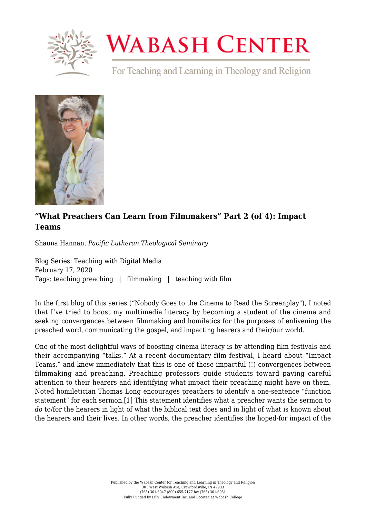

# **WABASH CENTER**

For Teaching and Learning in Theology and Religion



# **["What Preachers Can Learn from Filmmakers" Part 2 \(of 4\): Impact](https://www.wabashcenter.wabash.edu/2020/02/what-preachers-can-learn-from-filmmakers-part-2-of-4-impact-teams/) [Teams](https://www.wabashcenter.wabash.edu/2020/02/what-preachers-can-learn-from-filmmakers-part-2-of-4-impact-teams/)**

Shauna Hannan, *Pacific Lutheran Theological Seminary*

Blog Series: Teaching with Digital Media February 17, 2020 Tags: teaching preaching | filmmaking | teaching with film

In the first blog of this series [\("Nobody Goes to the Cinema to Read the Screenplay"\)](https://www.wabashcenter.wabash.edu/2020/01/what-preachers-can-learn-from-filmmakers-part-1-of-4-nobody-goes-to-the-cinema-to-read-the-screenplay/), I noted that I've tried to boost my multimedia literacy by becoming a student of the cinema and seeking convergences between filmmaking and homiletics for the purposes of enlivening the preached word, communicating the gospel, and impacting hearers and their/our world.

<span id="page-0-0"></span>One of the most delightful ways of boosting cinema literacy is by attending film festivals and their accompanying "talks." At a recent documentary film festival, I heard about "Impact Teams," and knew immediately that this is one of those impactful (!) convergences between filmmaking and preaching. Preaching professors guide students toward paying careful attention to their hearers and identifying what impact their preaching might have on them. Noted homiletician Thomas Long encourages preachers to identify a one-sentence "function statement" for each sermon.[\[1\]](#page-2-0) This statement identifies what a preacher wants the sermon to *do* to/for the hearers in light of what the biblical text does and in light of what is known about the hearers and their lives. In other words, the preacher identifies the hoped-for impact of the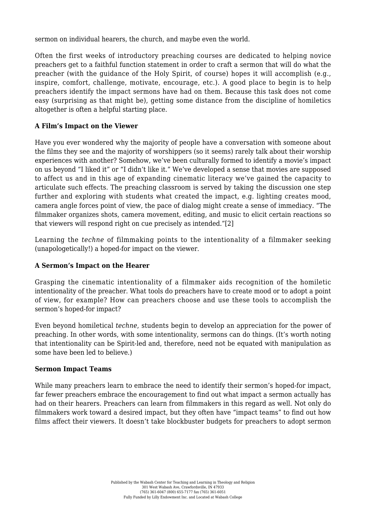sermon on individual hearers, the church, and maybe even the world.

Often the first weeks of introductory preaching courses are dedicated to helping novice preachers get to a faithful function statement in order to craft a sermon that will do what the preacher (with the guidance of the Holy Spirit, of course) hopes it will accomplish (e.g., inspire, comfort, challenge, motivate, encourage, etc.). A good place to begin is to help preachers identify the impact sermons have had on them. Because this task does not come easy (surprising as that might be), getting some distance from the discipline of homiletics altogether is often a helpful starting place.

## **A Film's Impact on the Viewer**

Have you ever wondered why the majority of people have a conversation with someone about the films they see and the majority of worshippers (so it seems) rarely talk about their worship experiences with another? Somehow, we've been culturally formed to identify a movie's impact on us beyond "I liked it" or "I didn't like it." We've developed a sense that movies are supposed to affect us and in this age of expanding cinematic literacy we've gained the capacity to articulate such effects. The preaching classroom is served by taking the discussion one step further and exploring with students what created the impact, e.g. lighting creates mood, camera angle forces point of view, the pace of dialog might create a sense of immediacy. "The filmmaker organizes shots, camera movement, editing, and music to elicit certain reactions so that viewers will respond right on cue precisely as intended.["\[2\]](#page-2-1)

<span id="page-1-0"></span>Learning the *techne* of filmmaking points to the intentionality of a filmmaker seeking (unapologetically!) a hoped-for impact on the viewer.

### **A Sermon's Impact on the Hearer**

Grasping the cinematic intentionality of a filmmaker aids recognition of the homiletic intentionality of the preacher. What tools do preachers have to create mood or to adopt a point of view, for example? How can preachers choose and use these tools to accomplish the sermon's hoped-for impact?

Even beyond homiletical *techne*, students begin to develop an appreciation for the power of preaching. In other words, with some intentionality, sermons can do things. (It's worth noting that intentionality can be Spirit-led and, therefore, need not be equated with manipulation as some have been led to believe.)

### **Sermon Impact Teams**

While many preachers learn to embrace the need to identify their sermon's hoped-for impact, far fewer preachers embrace the encouragement to find out what impact a sermon actually has had on their hearers. Preachers can learn from filmmakers in this regard as well. Not only do filmmakers work toward a desired impact, but they often have "impact teams" to find out how films affect their viewers. It doesn't take blockbuster budgets for preachers to adopt sermon